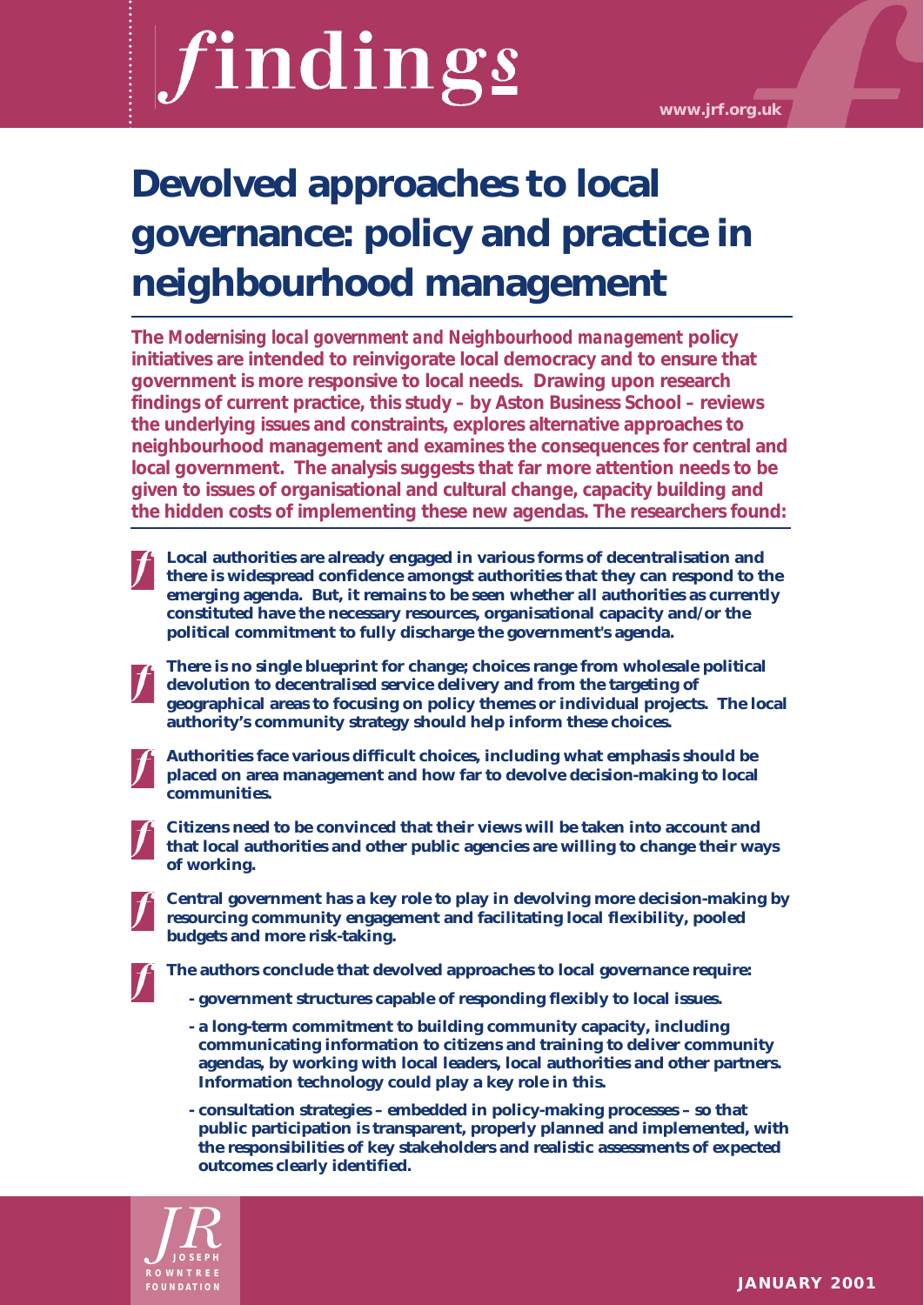# findings

# **Devolved approaches to local governance: policy and practice in neighbourhood management**

**The** *Modernising local government and Neighbourhood management* **policy initiatives are intended to reinvigorate local democracy and to ensure that government is more responsive to local needs. Drawing upon research findings of current practice, this study – by Aston Business School – reviews the underlying issues and constraints, explores alternative approaches to neighbourhood management and examines the consequences for central and local government. The analysis suggests that far more attention needs to be given to issues of organisational and cultural change, capacity building and the hidden costs of implementing these new agendas. The researchers found:**

- **Local authorities are already engaged in various forms of decentralisation and there is widespread confidence amongst authorities that they can respond to the emerging agenda. But, it remains to be seen whether all authorities as currently constituted have the necessary resources, organisational capacity and/or the political commitment to fully discharge the government's agenda.**
- **There is no single blueprint for change; choices range from wholesale political devolution to decentralised service delivery and from the targeting of geographical areas to focusing on policy themes or individual projects. The local authority's community strategy should help inform these choices.**
- 

**Authorities face various difficult choices, including what emphasis should be placed on area management and how far to devolve decision-making to local communities.** 

**Citizens need to be convinced that their views will be taken into account and that local authorities and other public agencies are willing to change their ways of working.** 

**Central government has a key role to play in devolving more decision-making by resourcing community engagement and facilitating local flexibility, pooled budgets and more risk-taking.**

**The authors conclude that devolved approaches to local governance require:**

- **government structures capable of responding flexibly to local issues.**
- **a long-term commitment to building community capacity, including communicating information to citizens and training to deliver community agendas, by working with local leaders, local authorities and other partners. Information technology could play a key role in this.**
- **consultation strategies embedded in policy-making processes so that public participation is transparent, properly planned and implemented, with the responsibilities of key stakeholders and realistic assessments of expected outcomes clearly identified.**

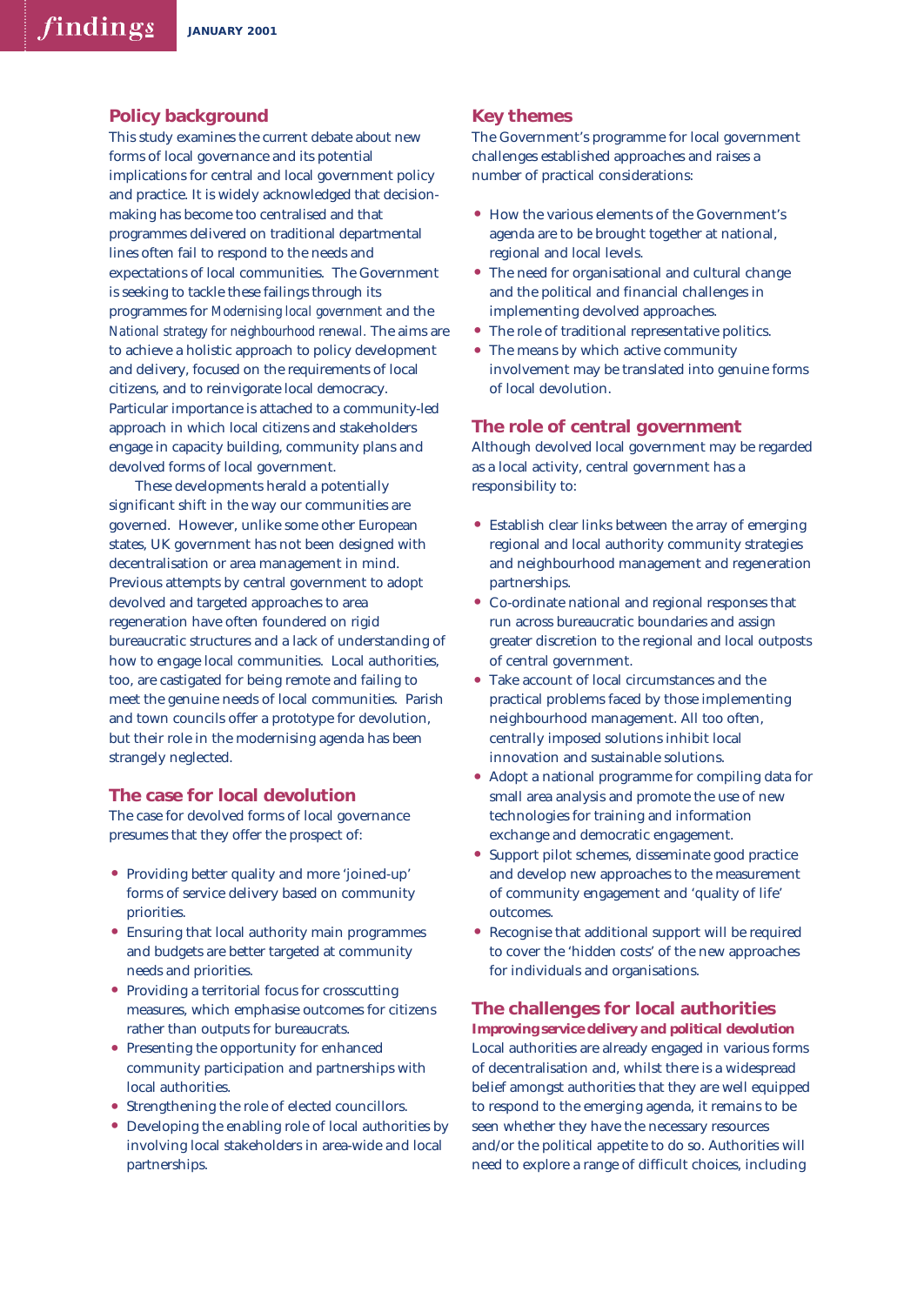# **Policy background**

This study examines the current debate about new forms of local governance and its potential implications for central and local government policy and practice. It is widely acknowledged that decisionmaking has become too centralised and that programmes delivered on traditional departmental lines often fail to respond to the needs and expectations of local communities. The Government is seeking to tackle these failings through its programmes for *Modernising local government* and the *National strategy for neighbourhood renewal.* The aims are to achieve a holistic approach to policy development and delivery, focused on the requirements of local citizens, and to reinvigorate local democracy. Particular importance is attached to a community-led approach in which local citizens and stakeholders engage in capacity building, community plans and devolved forms of local government.

These developments herald a potentially significant shift in the way our communities are governed. However, unlike some other European states, UK government has not been designed with decentralisation or area management in mind. Previous attempts by central government to adopt devolved and targeted approaches to area regeneration have often foundered on rigid bureaucratic structures and a lack of understanding of how to engage local communities. Local authorities, too, are castigated for being remote and failing to meet the genuine needs of local communities. Parish and town councils offer a prototype for devolution, but their role in the modernising agenda has been strangely neglected.

#### **The case for local devolution**

The case for devolved forms of local governance presumes that they offer the prospect of:

- Providing better quality and more 'joined-up' forms of service delivery based on community priorities.
- Ensuring that local authority main programmes and budgets are better targeted at community needs and priorities.
- Providing a territorial focus for crosscutting measures, which emphasise outcomes for citizens rather than outputs for bureaucrats.
- Presenting the opportunity for enhanced community participation and partnerships with local authorities.
- Strengthening the role of elected councillors.
- Developing the enabling role of local authorities by involving local stakeholders in area-wide and local partnerships.

# **Key themes**

The Government's programme for local government challenges established approaches and raises a number of practical considerations:

- How the various elements of the Government's agenda are to be brought together at national, regional and local levels.
- The need for organisational and cultural change and the political and financial challenges in implementing devolved approaches.
- The role of traditional representative politics.<br>• The means by which active community
- The means by which active community involvement may be translated into genuine forms of local devolution.

# **The role of central government**

Although devolved local government may be regarded as a local activity, central government has a responsibility to:

- Establish clear links between the array of emerging regional and local authority community strategies and neighbourhood management and regeneration partnerships.
- Co-ordinate national and regional responses that run across bureaucratic boundaries and assign greater discretion to the regional and local outposts of central government.
- Take account of local circumstances and the practical problems faced by those implementing neighbourhood management. All too often, centrally imposed solutions inhibit local innovation and sustainable solutions.
- Adopt a national programme for compiling data for small area analysis and promote the use of new technologies for training and information exchange and democratic engagement.
- Support pilot schemes, disseminate good practice and develop new approaches to the measurement of community engagement and 'quality of life' outcomes.
- Recognise that additional support will be required to cover the 'hidden costs' of the new approaches for individuals and organisations.

#### **The challenges for local authorities**

*Improving service delivery and political devolution* Local authorities are already engaged in various forms of decentralisation and, whilst there is a widespread belief amongst authorities that they are well equipped to respond to the emerging agenda, it remains to be seen whether they have the necessary resources and/or the political appetite to do so. Authorities will need to explore a range of difficult choices, including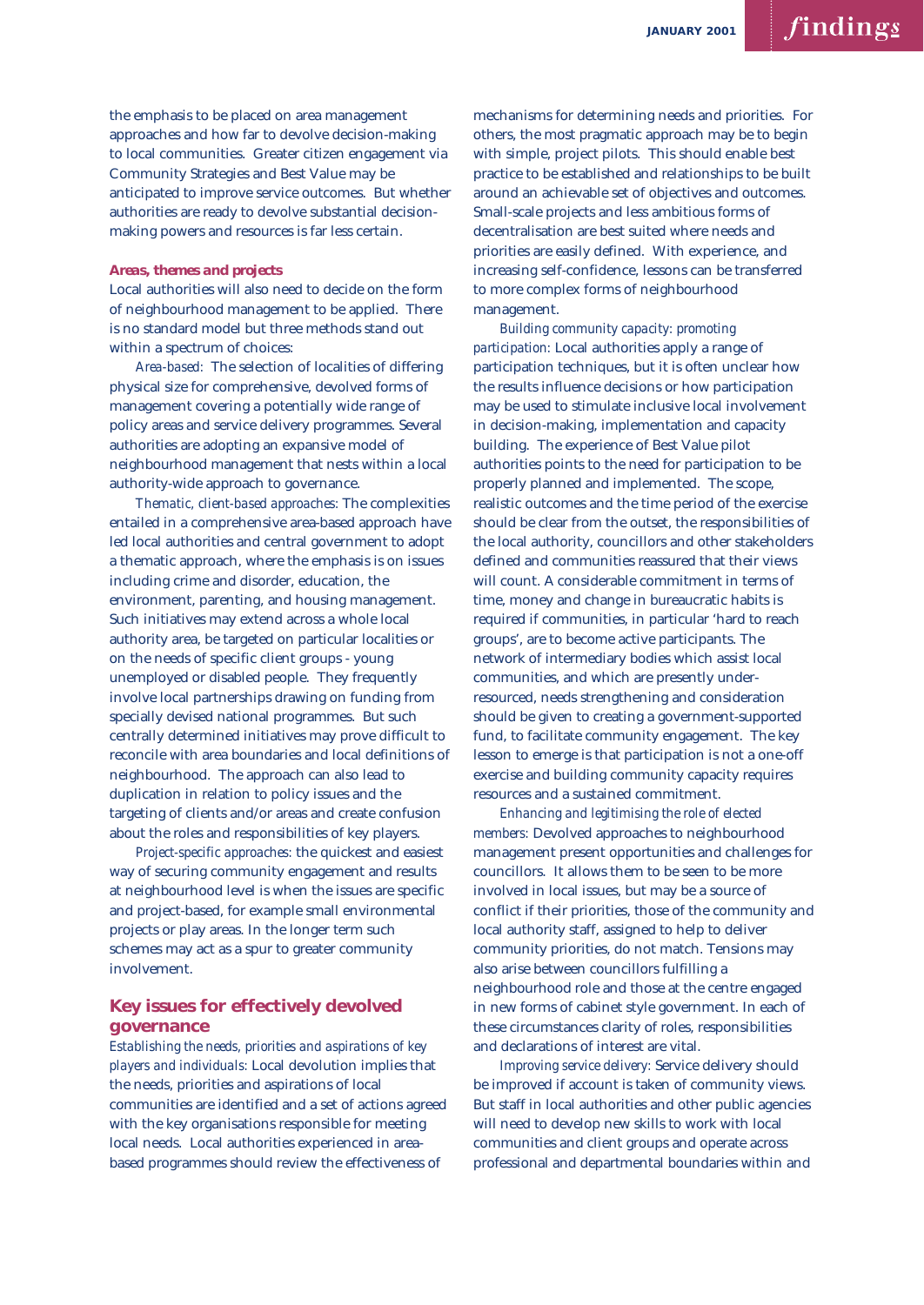the emphasis to be placed on area management approaches and how far to devolve decision-making to local communities. Greater citizen engagement via Community Strategies and Best Value may be anticipated to improve service outcomes. But whether authorities are ready to devolve substantial decisionmaking powers and resources is far less certain.

#### *Areas, themes and projects*

Local authorities will also need to decide on the form of neighbourhood management to be applied. There is no standard model but three methods stand out within a spectrum of choices:

*Area-based:* The selection of localities of differing physical size for comprehensive, devolved forms of management covering a potentially wide range of policy areas and service delivery programmes. Several authorities are adopting an expansive model of neighbourhood management that nests within a local authority-wide approach to governance.

*Thematic, client-based approaches:* The complexities entailed in a comprehensive area-based approach have led local authorities and central government to adopt a thematic approach, where the emphasis is on issues including crime and disorder, education, the environment, parenting, and housing management. Such initiatives may extend across a whole local authority area, be targeted on particular localities or on the needs of specific client groups - young unemployed or disabled people. They frequently involve local partnerships drawing on funding from specially devised national programmes. But such centrally determined initiatives may prove difficult to reconcile with area boundaries and local definitions of neighbourhood. The approach can also lead to duplication in relation to policy issues and the targeting of clients and/or areas and create confusion about the roles and responsibilities of key players.

*Project-specific approaches:* the quickest and easiest way of securing community engagement and results at neighbourhood level is when the issues are specific and project-based, for example small environmental projects or play areas. In the longer term such schemes may act as a spur to greater community involvement.

# **Key issues for effectively devolved governance**

*Establishing the needs, priorities and aspirations of key players and individuals:* Local devolution implies that the needs, priorities and aspirations of local communities are identified and a set of actions agreed with the key organisations responsible for meeting local needs. Local authorities experienced in areabased programmes should review the effectiveness of

mechanisms for determining needs and priorities. For others, the most pragmatic approach may be to begin with simple, project pilots. This should enable best practice to be established and relationships to be built around an achievable set of objectives and outcomes. Small-scale projects and less ambitious forms of decentralisation are best suited where needs and priorities are easily defined. With experience, and increasing self-confidence, lessons can be transferred to more complex forms of neighbourhood management.

*Building community capacity: promoting participation:* Local authorities apply a range of participation techniques, but it is often unclear how the results influence decisions or how participation may be used to stimulate inclusive local involvement in decision-making, implementation and capacity building. The experience of Best Value pilot authorities points to the need for participation to be properly planned and implemented. The scope, realistic outcomes and the time period of the exercise should be clear from the outset, the responsibilities of the local authority, councillors and other stakeholders defined and communities reassured that their views will count. A considerable commitment in terms of time, money and change in bureaucratic habits is required if communities, in particular 'hard to reach groups', are to become active participants. The network of intermediary bodies which assist local communities, and which are presently underresourced, needs strengthening and consideration should be given to creating a government-supported fund, to facilitate community engagement. The key lesson to emerge is that participation is not a one-off exercise and building community capacity requires resources and a sustained commitment.

*Enhancing and legitimising the role of elected members:* Devolved approaches to neighbourhood management present opportunities and challenges for councillors. It allows them to be seen to be more involved in local issues, but may be a source of conflict if their priorities, those of the community and local authority staff, assigned to help to deliver community priorities, do not match. Tensions may also arise between councillors fulfilling a neighbourhood role and those at the centre engaged in new forms of cabinet style government. In each of these circumstances clarity of roles, responsibilities and declarations of interest are vital.

*Improving service delivery:* Service delivery should be improved if account is taken of community views. But staff in local authorities and other public agencies will need to develop new skills to work with local communities and client groups and operate across professional and departmental boundaries within and